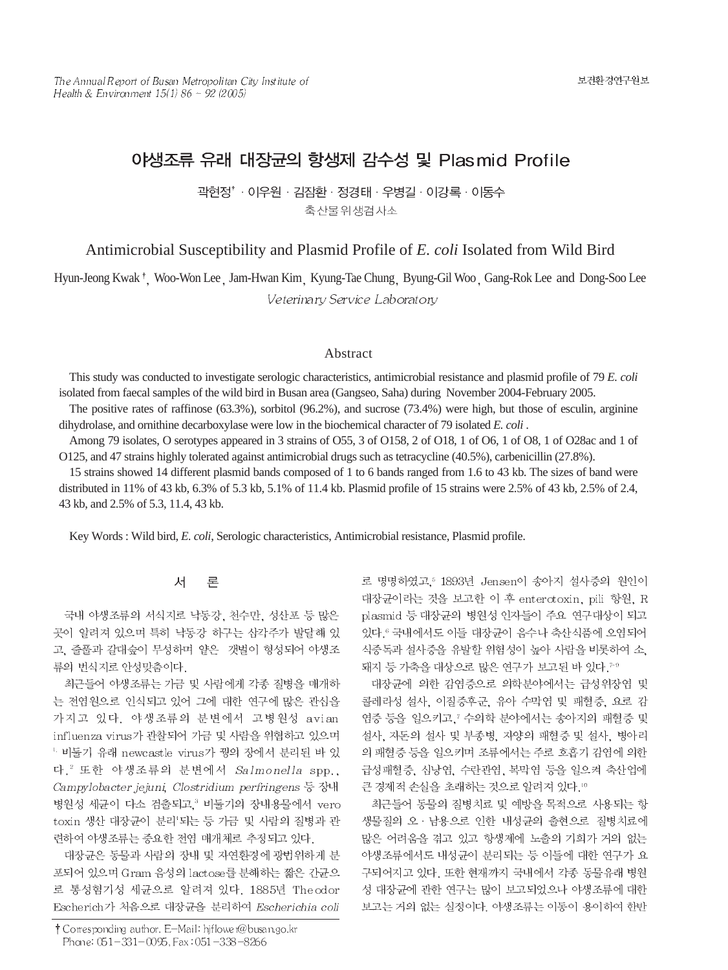# 야생조류 유래 대장균의 항생제 감수성 및 Plasmid Profile

곽현정'·이우원 · 김잠환 · 정경태 · 우병길 · 이강록 · 이동수 축산물위생검사소

Antimicrobial Susceptibility and Plasmid Profile of *E. coli* Isolated from Wild Bird

Hyun-Jeong Kwak<sup>†</sup>, Woo-Won Lee Jam-Hwan Kim Kyung-Tae Chung Byung-Gil Woo Gang-Rok Lee and Dong-Soo Lee Veterinary Service Laboratory

### Abstract

This study was conducted to investigate serologic characteristics, antimicrobial resistance and plasmid profile of 79 *E. coli* isolated from faecal samples of the wild bird in Busan area (Gangseo, Saha) during November 2004-February 2005.

The positive rates of raffinose (63.3%), sorbitol (96.2%), and sucrose (73.4%) were high, but those of esculin, arginine dihydrolase, and ornithine decarboxylase were low in the biochemical character of 79 isolated *E. coli* .

Among 79 isolates, O serotypes appeared in 3 strains of O55, 3 of O158, 2 of O18, 1 of O6, 1 of O8, 1 of O28ac and 1 of O125, and 47 strains highly tolerated against antimicrobial drugs such as tetracycline (40.5%), carbenicillin (27.8%).

15 strains showed 14 different plasmid bands composed of 1 to 6 bands ranged from 1.6 to 43 kb. The sizes of band were distributed in 11% of 43 kb, 6.3% of 5.3 kb, 5.1% of 11.4 kb. Plasmid profile of 15 strains were 2.5% of 43 kb, 2.5% of 2.4, 43 kb, and 2.5% of 5.3, 11.4, 43 kb.

Key Words : Wild bird, *E. coli*, Serologic characteristics, Antimicrobial resistance, Plasmid profile.

#### 서 론

국내 야생조류의 서식지로 낙동강, 천수만, 성산포 등 많은 곳이 알려져 있으며 특히 낙동강 하구는 삼각주가 발달해 있 고, 줄풀과 갈대숲이 무성하며 얕은 갯벌이 형성되어 야생조 류의 번식지로 안성맞춤이다.

최근들어 야생조류는 가금 및 사람에게 각종 질병을 매개하 는 전염원으로 인식되고 있어 그에 대한 연구에 많은 관심을 가지고 있다. 야생조류의 분변에서 고병원성 avian influenza virus가 관찰되어 가금 및 사람을 위협하고 있으며 1 비둘기 유래 newcastle virus가 꿩의 장에서 분리된 바 있 다.<sup>2</sup> 또한 야생조류의 분변에서 Salmonella spp., Campylobacter jejuni, Clostridium perfringens 등 장내 병원성 세균이 다소 검출되고,<sup>3</sup> 비둘기의 장내용물에서 vero toxin 생산 대장균이 분리'되는 등 가금 및 사람의 질병과 관 련하여 야생조류는 중요한 전염 매개체로 추정되고 있다.

대장균은 동물과 사람의 장내 및 자연환경에 광번위하게 분 포되어 있으며 Gram 음성의 lactose를 분해하는 짧은 간균으 로 통성혐기성 세균으로 알려져 있다. 1885년 Theodor Escherich가 처음으로 대장균을 분리하여 Escherichia coli

로 명명하였고, 1893년 Jensen이 송아지 설사증의 원인이 대장균이라는 것을 보고한 이 후 enterctoxin, pili 항원, R plasmid 등 대장균의 병원성 인자들이 주요 연구대상이 되고 있다. 국내에서도 이들 대장균이 음수나 축산식품에 오염되어 식중독과 설사증을 유발할 위험성이 높아 사람을 비롯하여 소. 돼지 등 가축을 대상으로 많은 연구가 보고된 바 있다. 79

대장균에 의한 감염증으로 의학분야에서는 급성위장염 및 콜레라성 설사, 이질증후군, 유아 수막염 및 패혈증, 요로 감 염증 등을 일으키고, 각의학 분야에서는 송아지의 패혈증 및 설사, 자돈의 설사 및 부종병, 자양의 패혈증 및 설사, 병아리 의 패혈증 등을 일으키며 조류에서는 주로 호흡기 감염에 의한 급성패혈증, 심낭염, 수란관염, 복막염 등을 일으켜 축산업에 큰 경제적 손실을 초래하는 것으로 알려져 있다.10

최근들어 동물의 질병치료 및 예방을 목적으로 사용되는 항 생물질의 오· 남용으로 인한 내성균의 출현으로 질병치료에 많은 어려움을 겪고 있고 항생제에 노출의 기회가 거의 없는 야생조류에서도 내성균이 분리되는 등 이들에 대한 연구가 요 구되어지고 있다. 또한 현재까지 국내에서 각종 동물유래 병원 성 대장균에 관한 연구는 많이 보고되었으나 야생조류에 대한 보고는 거의 없는 실정이다. 야생조류는 이동이 용이하여 한반

<sup>†</sup> Corresponding author. E-Mail: hjflower@busan.go.kr Phone: 051-331-0095, Fax: 051-338-8266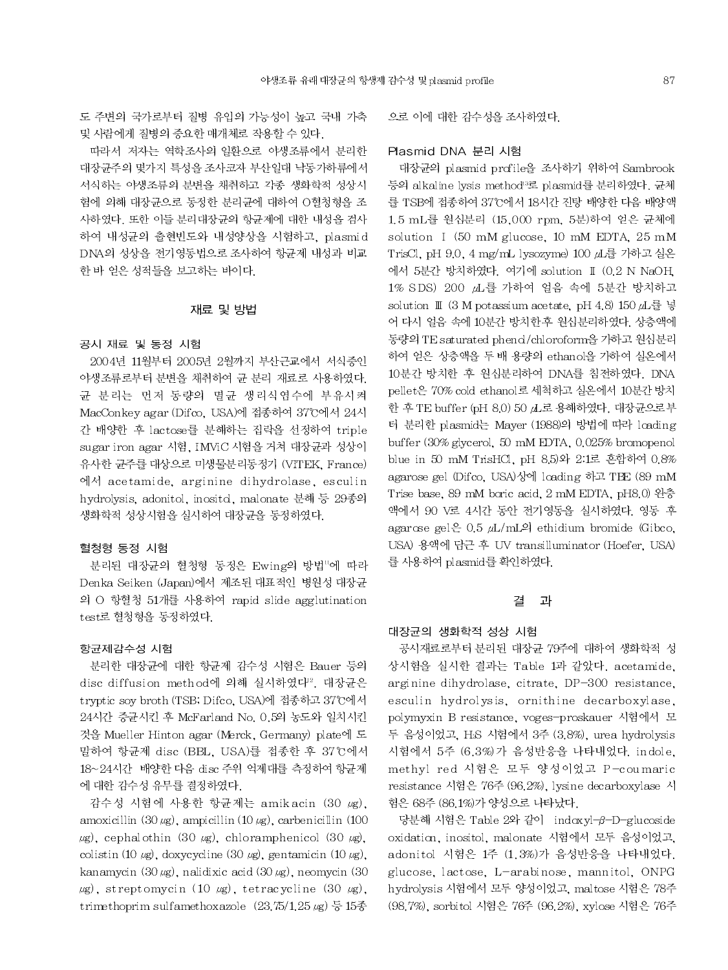도 주변의 국가로부터 질병 유입의 가능성이 높고 국내 가축 및 사람에게 질병의 중요한 매개체로 작용할 수 있다.

따라서 저자는 역학조사의 일환으로 야생조류에서 분리한 대장균주의 몇가지 특성을 조사코자 부산일대 낙동가하류에서 서식하는 야생조류의 분변을 채취하고 각종 생화학적 성상시 험에 의해 대장균으로 동정한 분리균에 대하여 O혈청형을 조 사하였다. 또한 이들 분리대장균의 항균제에 대한 내성을 검사 하여 내성균의 출현빈도와 내성양상을 시험하고, plasmid DNA의 성상을 전기영동법으로 조사하여 항균제 내성과 비교 한 바 얻은 성적들을 보고하는 바이다.

#### 재료 및 방법

#### 공시 재료 및 동정 시험

2004년 11월부터 2005년 2월까지 부산근교에서 서식중인 야생조류로부터 부변을 채취하여 규 분리 재료로 사용하였다. 균 분리는 먼저 동량의 멸균 생리식염수에 부유시켜 MacConkey agar (Difco, USA)에 접종하여 37°C에서 24시 간 배양한 후 lactose를 분해하는 집락을 선정하여 triple sugar iron agar 시험, IMViC 시험을 거쳐 대장균과 성상이 유사한 균주를 대상으로 미생물분리동정기 (VITEK, France) 에서 acetamide, arginine dihydrolase, esculin hydrolysis, adonitol, inositol, malonate 분해 등 29종의 생화학적 성상시험을 실시하여 대장균을 동정하였다.

#### 혈청형 동정 시험

분리된 대장균의 혈청형 동정은 Ewing의 방법"에 따라 Denka Seiken (Japan)에서 제조된 대표적인 병원성 대장균 의 O 항혈청 51개를 사용하여 rapid slide agglutination test로 혈청형을 동정하였다.

### 항균제감수성 시험

분리한 대장균에 대한 항균제 감수성 시험은 Bauer 등의 disc diffusion method에 의해 실시하였다2. 대장균은 tryptic soy broth (TSB, Difco, USA)에 접종하고 37°C에서 24시간 증균시킨 후 McFarland No. 0.5의 농도와 일치시킨 것을 Mueller Hinton agar (Merck, Germany) plate에 도 말하여 항균제 disc (BBL, USA)를 접종한 후 37℃에서 18~24시간 배양한 다음 disc 주위 억제대를 측정하여 항균제 에 대한 감수성 유무를 결정하였다.

감수성 시험에 사용한 항균제는 amikacin (30 µg), amoxicillin (30  $\mu$ g), ampicillin (10  $\mu$ g), carbenicillin (100  $\mu$ g), cephalothin (30  $\mu$ g), chloramphenicol (30  $\mu$ g), colistin (10  $\mu$ g), doxycycline (30  $\mu$ g), gentamicin (10  $\mu$ g), kanamycin (30  $\mu$ g), nalidixic acid (30  $\mu$ g), neomycin (30  $\mu$ g), streptomycin (10  $\mu$ g), tetracycline (30  $\mu$ g), trimethoprim sulfamethoxazole  $(23.75/1.25 \mu g)$  등 15종 으로 이에 대한 감수성을 조사하였다.

### Plasmid DNA 분리 시험

대장균의 plasmid profile을 조사하기 위하여 Sambrook 등의 alkaline lysis method<sup>3</sup>로 plasmid를 분리하였다. 균체 를 TSB에 접종하여 37°C에서 18시간 진탕 배양한 다음 배양액 1.5 mL를 원심분리 (15,000 rpm, 5분)하여 얻은 균체에 solution I (50 mM glucose, 10 mM EDTA, 25 mM TrisCl, pH 9.0, 4 mg/mL lysozyme) 100 山를 가하고 실온 에서 5분간 방치하였다. 여기에 solution I (0.2 N NaOH, 1% SDS) 200 µL를 가하여 얼음 속에 5분간 방치하고 solution II (3 M potassium acetate, pH 4.8) 150 uL를 넣 어 다시 얼음 속에 10분간 방치한 후 원심분리하였다. 상층액에 동량의 TE saturated phend/chloroform을 가하고 원심분리 하여 얻은 상층액을 두 배 용량의 ethanol을 가하여 실온에서 10분간 방치한 후 원심분리하여 DNA를 침전하였다. DNA pellet은 70% cold ethanol로 세척하고 실온에서 10분간 방치 한 후 TE buffer (pH 8.0) 50 d 로 용해하였다. 대장균으로부 터 분리한 plasmid는 Mayer (1988)의 방법에 따라 loading buffer (30% glycerol, 50 mM EDTA, 0.025% bromopenol blue in 50 mM TrisHCl, pH 8.5)와 2.1로 혼합하여 0.8% agarose gel (Difco, USA)상에 loading 하고 TBE (89 mM Trise base, 89 mM boric acid, 2 mM EDTA, pH8.0) 완충 액에서 90 V로 4시간 동안 전기영동을 실시하였다. 영동 후 agarose gel $\stackrel{\circ}{\in}$  0.5  $\mu$ L/mL<sup>o</sup>l ethidium bromide (Gibco, USA) 용액에 담근 후 UV transilluminator (Hoefer, USA) 를 사용하여 plasmid를 확인하였다.

#### 결 과

#### 대장균의 생화학적 성상 시험

공시재료로부터 분리된 대장균 79주에 대하여 생화학적 성 상시험을 실시한 결과는 Table 1과 같았다. acetamide, arginine dihydrolase, citrate, DP-300 resistance, esculin hydrolysis, ornithine decarboxylase, polymyxin B resistance, voges-proskauer 시험에서 모 두 음성이었고, HsS 시험에서 3주 (3.8%), urea hydrolysis 시험에서 5주 (6.3%)가 음성반응을 나타내었다. indole, methyl red 시험은 모두 양성이었고 P-coumaric resistance 시험은 76주 (96.2%), lysine decarboxylase 시 험은 68주 (86.1%)가 양성으로 나타났다.

당분해 시험은 Table 2와 같이 indoxyl-β-D-glucoside oxidation, inositol, malonate 시험에서 모두 음성이었고, adonitol 시험은 1주 (1.3%)가 음성반응을 나타내었다. glucose, lactose, L-arabinose, mannitol, ONPG hydrolysis 시험에서 모두 양성이었고, maltose 시험은 78주 (98.7%), sorbitol 시험은 76주 (96.2%), xylose 시험은 76주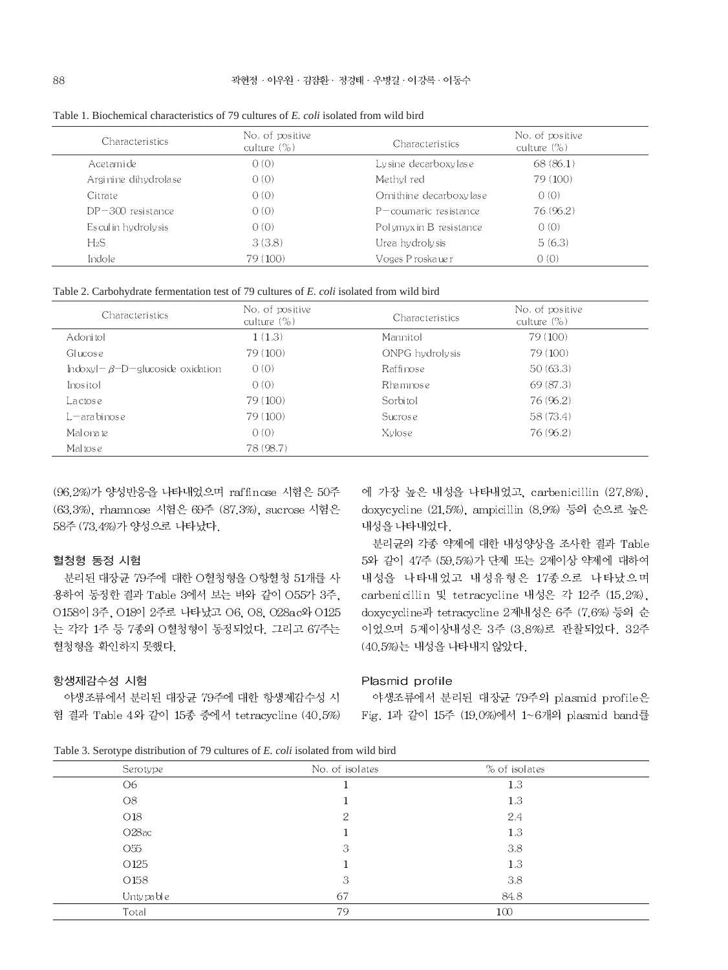| <b>Characteristics</b> | No. of positive<br>culture $(\%)$ | Characteristics           | No. of positive<br>culture $(\%)$ |
|------------------------|-----------------------------------|---------------------------|-----------------------------------|
| Acetami de             | 0(0)                              | Lysine decarboxylase      | 68(86.1)                          |
| Arginine dihydrolase   | 0(0)                              | Methyl red                | 79 (100)                          |
| Citrate                | 0(0)                              | Orni thine decarboxy lase | 0(0)                              |
| $DP-300$ resistance    | 0(0)                              | $P$ – coumaric resistance | 76 (96.2)                         |
| Esculin hydrolysis     | 0(0)                              | Polymyxin B resistance    | 0(0)                              |
| $H_2S$                 | 3(3.8)                            | Urea hydrolysis           | 5(6.3)                            |
| Indole                 | 79 (100)                          | Voges Proskauer           | 0(0)                              |

Table 1. Biochemical characteristics of 79 cultures of E. coli isolated from wild bird

|  | Table 2. Carbohydrate fermentation test of 79 cultures of E. coli isolated from wild bird |  |  |  |  |  |  |
|--|-------------------------------------------------------------------------------------------|--|--|--|--|--|--|
|--|-------------------------------------------------------------------------------------------|--|--|--|--|--|--|

| Characteristics                         | No. of positive<br>culture $(\%)$ | Characteristics | No. of positive<br>culture $(\%)$ |
|-----------------------------------------|-----------------------------------|-----------------|-----------------------------------|
| Adoni tol                               | 1(1.3)                            | Mannitol        | 79 (100)                          |
| Glucose                                 | 79 (100)                          | ONPG hydrolysis | 79 (100)                          |
| Indoxyl- $\beta$ -D-glucoside oxidation | 0(0)                              | Raffinose       | 50(63.3)                          |
| Inositol                                | 0(0)                              | Rhamnose        | 69(87.3)                          |
| Lactose                                 | 79 (100)                          | Sorbitol        | 76 (96.2)                         |
| $L$ – ara binose                        | 79 (100)                          | Sucrose         | 58 (73.4)                         |
| Malonate                                | 0(0)                              | Xylose          | 76 (96.2)                         |
| Maltose                                 | 78 (98.7)                         |                 |                                   |

(96.2%)가 양성반응을 나타내었으며 raffinose 시험은 50주 (63.3%), rhamnose 시험은 69주 (87.3%), sucrose 시험은 58주 (73.4%)가 양성으로 나타났다.

### 혈청형 동정 시험

분리된 대장균 79주에 대한 O혈청형을 O항혈청 51개를 사 용하여 동정한 결과 Table 3에서 보는 바와 같이 055가 3주, 0158이 3주, 018이 2주로 나타났고 06, 08, 028ac와 0125 는 각각 1주 등 7종의 O혈청형이 동정되었다. 그리고 67주는 혈청형을 확인하지 못했다.

## 에 가장 높은 내성을 나타내었고, carbenicillin (27.8%), doxycycline (21.5%), ampicillin (8.9%) 등의 순으로 높은 내성을 나타내었다.

분리균의 각종 약제에 대한 내성양상을 조사한 결과 Table 5와 같이 47주 (59.5%)가 단제 또는 2제이상 약제에 대하여 내성을 나타내었고 내성유형은 17종으로 나타났으며 carbenicillin 및 tetracycline 내성은 각 12주 (15.2%), doxycycline과 tetracycline 2제내성은 6주 (7.6%) 등의 순 이었으며 5제이상내성은 3주 (3.8%)로 관찰되었다. 32주 (40.5%)는 내성을 나타내지 않았다.

#### 항생제감수성 시험

야생조류에서 분리된 대장균 79주에 대한 항생제감수성 시 험 결과 Table 4와 같이 15종 중에서 tetracycline (40.5%)

#### Plasmid profile

야생조류에서 분리된 대장균 79주의 plasmid profile은 Fig. 1과 같이 15주 (19.0%)에서 1~6개의 plasmid band를

Table 3. Serotype distribution of 79 cultures of E. coli isolated from wild bird

| Serotype           | No. of isolates | % of isolates |  |
|--------------------|-----------------|---------------|--|
| O6                 |                 | 1.3           |  |
| O8                 |                 | 1.3           |  |
| O18                | 2               | 2.4           |  |
| O <sub>28</sub> ac |                 | 1.3           |  |
| O <sub>55</sub>    | 3               | 3.8           |  |
| O <sub>125</sub>   |                 | 1.3           |  |
| O <sub>158</sub>   | 3               | 3.8           |  |
| Untypable          | 67              | 84.8          |  |
| Total              | 79              | 100           |  |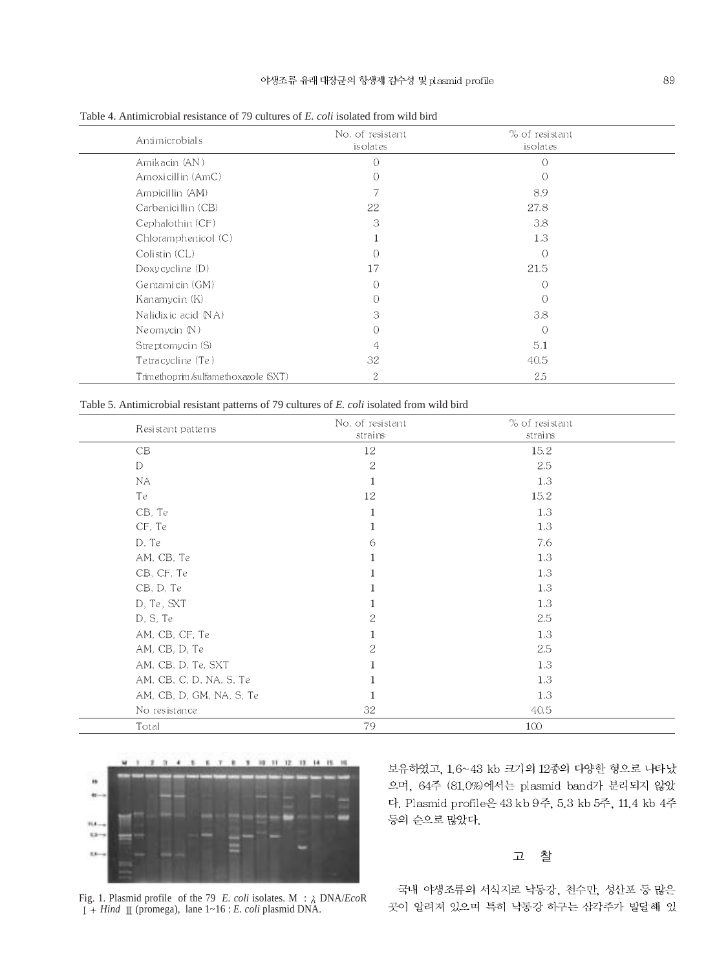| Antimicrobials                      | No. of resistant<br>isolates | % of resistant<br>isolates |  |
|-------------------------------------|------------------------------|----------------------------|--|
| Amikacin (AN)                       | $\bigcap$                    | $\bigcirc$                 |  |
| Amoxicillin (AmC)                   | 0                            | ∩                          |  |
| Ampicillin (AM)                     |                              | 8.9                        |  |
| Carbenicillin (CB)                  | 22                           | 27.8                       |  |
| Cephalothin (CF)                    | 3                            | 3.8                        |  |
| Chloramphenicol (C)                 |                              | 1.3                        |  |
| Colistin (CL)                       | Ω                            | $\bigcap$                  |  |
| Doxy cycline $(D)$                  | 17                           | 21.5                       |  |
| Gentamicin (GM)                     | 0                            | ∩                          |  |
| Kanamycin (K)                       | 0                            | ∩                          |  |
| Nalidix ic acid (NA)                | 3                            | 3.8                        |  |
| Ne omycin $(N)$                     | Ω                            | ∩                          |  |
| Streptomycin (S)                    | 4                            | 5.1                        |  |
| Te tra cycline (Te)                 | 32                           | 40.5                       |  |
| Trimethoprim/sulfamethoxazole (SXT) | 2                            | 2.5                        |  |

Table 4. Antimicrobial resistance of 79 cultures of *E. coli* isolated from wild bird

Table 5. Antimicrobial resistant patterns of 79 cultures of *E. coli* isolated from wild bird

| Resistant patterns       | No. of resistant | % of resistant |  |
|--------------------------|------------------|----------------|--|
|                          | strains          | strains        |  |
| CB                       | 12               | 15.2           |  |
| D                        | $\sqrt{2}$       | 2.5            |  |
| NA                       | $\mathbf 1$      | 1.3            |  |
| Te                       | 12               | 15.2           |  |
| CB, Te                   | 1                | 1.3            |  |
| CF, Te                   | 1                | 1.3            |  |
| D, Te                    | 6                | 7.6            |  |
| AM, CB, Te               | 1                | 1.3            |  |
| CB, CF, Te               | 1                | 1.3            |  |
| CB, D, Te                | 1                | 1.3            |  |
| D, Te, SXT               | 1                | 1.3            |  |
| D, S, Te                 | 2                | 2.5            |  |
| AM, CB, CF, Te           | 1                | 1.3            |  |
| AM, CB, D, Te            | 2                | 2.5            |  |
| AM, CB, D, Te, SXT       | 1                | 1.3            |  |
| AM, CB, C, D, NA, S, Te  |                  | 1.3            |  |
| AM, CB, D, GM, NA, S, Te | 1                | 1.3            |  |
| No resistance            | 32               | 40.5           |  |
| Total                    | 79               | 100            |  |



보유하였고, 1.6~43 kb 크기의 12종의 다양한 형으로 나타났 으며, 64주 (81.0%)에서는 plasmid band가 분리되지 않았 다. Plasmid profile은 43 kb 9주, 5.3 kb 5주, 11.4 kb 4주 등의 순으로 많았다.

#### 찰 고

Fig. 1. Plasmid profile of the 79 *E. coli* isolates. M : DNA/*Eco*R *Hind* (promega), lane 1~16 : *E. coli* plasmid DNA.

국내 야생조류의 서식지로 낙동강, 천수만, 성산포 등 많은 곳이 알려져 있으며 특히 낙동강 하구는 삼각주가 발달해 있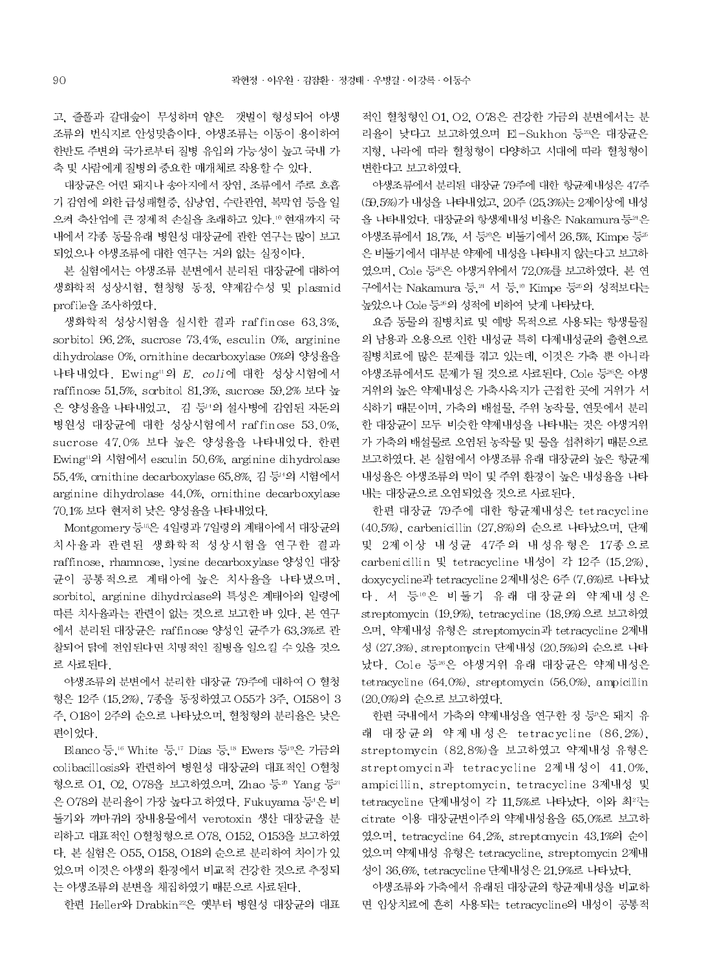고, 줄풀과 갈대숲이 무성하며 얕은 갯벌이 형성되어 야생 조류의 번식지로 안성맞춤이다. 야생조류는 이동이 용이하여 한반도 주변의 국가로부터 질병 유입의 가능성이 높고 국내 가 축 및 사람에게 질병의 중요한 매개체로 작용할 수 있다.

대장균은 어린 돼지나 송아지에서 장염, 조류에서 주로 호흡 기 감염에 의한 급성패혈증, 심낭염, 수란관염, 복막염 등을 일 으켜 축산업에 큰 경제적 손실을 초래하고 있다. © 현재까지 국 내에서 각종 동물유래 병원성 대장균에 관한 연구는 많이 보고 되었으나 야생조류에 대한 연구는 거의 없는 실정이다.

본 실험에서는 야생조류 분변에서 분리된 대장균에 대하여 생화학적 성상시험, 혈청형 동정, 약제감수성 및 plasmid profile을 조사하였다.

생화학적 성상시험을 실시한 결과 raffinose 63.3%. sorbitol 96.2%, sucrose 73.4%, esculin 0%, arginine dihydrolase 0%, ornithine decarboxylase 0%의 양성율을 나타내었다. Ewing"의 E. coli에 대한 성상시험에서 raffinose 51.5%, sorbitol 81.3%, sucrose 59.2% 보다 높 은 양성율을 나타내었고, 김 등 의 설사병에 감염된 자돈의 병원성 대장균에 대한 성상시험에서 raffinose 53.0%, sucrose 47.0% 보다 높은 양성율을 나타내었다. 한편 Ewing"의 시험에서 esculin 50.6%, arginine dihydrolase 55.4%, ornithine decarboxylase 65.8%, 김 등 의 시험에서 arginine dihydrolase 44.0%, ornithine decarboxylase 70.1% 보다 현저히 낮은 양성율을 나타내었다.

Montgomery 등 6은 4일령과 7일령의 계태아에서 대장균의 치사율과 관련된 생화학적 성상시험을 연구한 결과 raffinose, rhamnose, lysine decarboxylase 양성인 대장 균이 공통적으로 계태아에 높은 치사율을 나타냈으며, sorbitol, arginine dihydrolase의 특성은 계태아의 일령에 따른 치사율과는 관련이 없는 것으로 보고한 바 있다. 본 연구 에서 분리된 대장균은 raffinose 양성인 균주가 63.3%로 관 찰되어 닭에 전염된다면 치명적인 질병을 일으킬 수 있을 것으 로 사료된다.

야생조류의 분변에서 분리한 대장균 79주에 대하여 O 혈청 형은 12주 (15.2%), 7종을 동정하였고 O55가 3주, O158이 3 주, 018이 2주의 순으로 나타났으며, 혈청형의 분리율은 낮은 편이었다.

Blanco 등,<sup>16</sup> White 등,<sup>17</sup> Dias 등,<sup>18</sup> Ewers 등<sup>9</sup>은 가금의 colibacillosis와 관련하여 병원성 대장균의 대표적인 O혈청 형으로 01, 02, 078을 보고하였으며, Zhao 등 Nang 등 2 은 O78의 분리율이 가장 높다고 하였다. Fukuyama 등'은 비 둘기와 까마귀의 장내용물에서 verotoxin 생산 대장균을 분 리하고 대표적인 O혈청형으로 O78, O152, O153을 보고하였 다. 본 실험은 055, 0158, 018의 순으로 분리하여 차이가 있 었으며 이것은 야생의 환경에서 비교적 건강한 것으로 추정되 는 야생조류의 분변을 채집하였기 때문으로 사료된다.

한편 Heller와 Drabkin<sup>22</sup>은 옛부터 병원성 대장균의 대표

적인 혈청형인 O1, O2, O78은 건강한 가금의 분변에서는 분 리율이 낮다고 보고하였으며 El-Sukhon 등23은 대장균은 지형, 나라에 따라 혈청형이 다양하고 시대에 따라 혈청형이 변한다고 보고하였다.

야생조류에서 분리된 대장균 79주에 대한 항균제내성은 47주 (59.5%)가 내성을 나타내었고, 20주 (25.3%)는 2제이상에 내성 을 나타내었다. 대장균의 항생제내성 비율은 Nakamura 등20은 야생조류에서 18.7%, 서 등 은 비둘기에서 26.5%, Kimpe 등 25 은 비둘기에서 대부분 약제에 내성을 나타내지 않는다고 보고하 였으며, Cole 등 %은 야생거위에서 72,0%를 보고하였다. 본 연 구에서는 Nakamura 등.<sup>24</sup> 서 등.<sup>10</sup> Kimpe 등25의 성적보다는 높았으나 Cole 등 의 성적에 비하여 낮게 나타났다.

요즘 동물의 질병치료 및 예방 목적으로 사용되는 항생물질 의 남용과 오용으로 인한 내성균 특히 다제내성균의 출현으로 질병치료에 많은 문제를 겪고 있는데, 이것은 가축 뿐 아니라 야생조류에서도 문제가 될 것으로 사료된다. Cole 등 %은 야생 거위의 높은 약제내성은 가축사육지가 근접한 곳에 거위가 서 식하기 때문이며, 가축의 배설물, 주위 농작물, 연못에서 분리 한 대장균이 모두 비슷한 약제내성을 나타내는 것은 야생거위 가 가축의 배설물로 오염된 농작물 및 물을 섭취하기 때문으로 보고하였다. 본 실험에서 야생조류 유래 대장균의 높은 항균제 내성율은 야생조류의 먹이 및 주위 환경이 높은 내성율을 나타 내는 대장균으로 오염되었을 것으로 사료된다.

한편 대장균 79주에 대한 항균제내성은 tetracycline (40.5%), carbenicillin (27.8%)의 순으로 나타났으며, 단제 및 2제이상 내성균 47주의 내성유형은 17종으로 carbenicillin 및 tetracycline 내성이 각 12주 (15.2%). doxycycline과 tetracycline 2제내성은 6주 (7.6%)로 나타났 다. 서 등 ©은 비둘기 유래 대장균의 약제내성은 streptomycin (19.9%), tetracycline (18.9%)으로 보고하였 으며, 약제내성 유형은 streptomycin과 tetracycline 2제내 성 (27.3%), streptomycin 단제내성 (20.5%)의 순으로 나타 났다. Cole 등26은 야생거위 유래 대장균은 약제내성은 tetracycline (64.0%), streptomycin (56.0%), ampicillin (20.0%)의 순으로 보고하였다.

한편 국내에서 가축의 약제내성을 연구한 정 등'은 돼지 유 래 대장균의 약제내성은 tetracycline (86.2%), streptomycin (82.8%)을 보고하였고 약제내성 유형은 streptomycin과 tetracycline 2제내성이 41.0%, ampicillin, streptomycin, tetracycline 3제내성 및 tetracycline 단제내성이 각 11.5%로 나타났다. 이와 최<sup>27</sup>는 citrate 이용 대장균변이주의 약제내성율을 65.0%로 보고하 였으며, tetracycline 64.2%, streptomycin 43.1%의 순이 었으며 약제내성 유형은 tetracycline, streptomycin 2제내 성이 36.6%, tetracycline 단제내성은 21.9%로 나타났다.

야생조류와 가축에서 유래된 대장균의 항균제내성을 비교하 면 임상치료에 흔히 사용되는 tetracycline의 내성이 공통적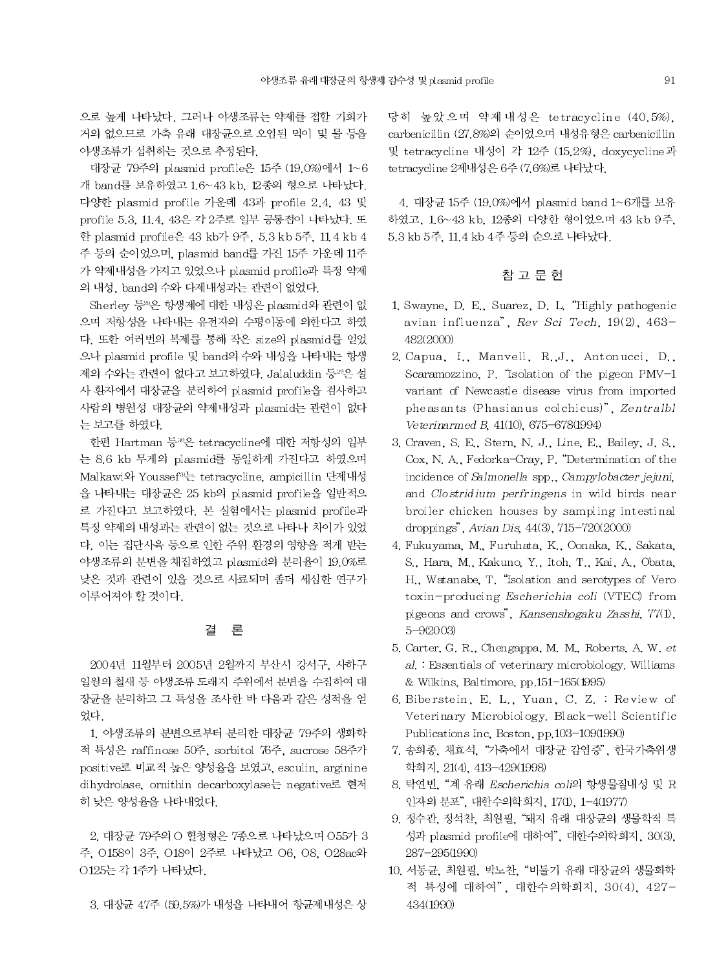으로 높게 나타났다. 그러나 야생조류는 약제를 접할 기회가 거의 없으므로 가축 유래 대장균으로 오염된 먹이 및 물 등을 야생조류가 섭취하는 것으로 추정된다.

대장균 79주의 plasmid profile은 15주 (19.0%)에서 1~6 개 band를 보유하였고 1.6~43 kb, 12종의 형으로 나타났다. 다양한 plasmid profile 가운데 43과 profile 2.4, 43 및 profile 5.3, 11.4, 43은 각 2주로 일부 공통점이 나타났다. 또 한 plasmid profile은 43 kb가 9주, 5.3 kb 5주, 11 4 kb 4 주 등의 순이었으며, plasmid band를 가진 15주 가운데 11주 가 약제내성을 가지고 있었으나 plasmid profile과 특정 약제 의 내성, band의 수와 다제내성과는 관련이 없었다.

Sherley 등 %은 항생제에 대한 내성은 plasmid와 관련이 없 으며 저항성을 나타내는 유전자의 수평이동에 의한다고 하였 다. 또한 여러번의 복제를 통해 작은 size의 plasmid를 얻었 으나 plasmid profile 및 band의 수와 내성을 나타내는 항생 제의 수와는 관련이 없다고 보고하였다. Jalaluddin 등20은 설 사 환자에서 대장균을 분리하여 plasmid profile을 검사하고 사람의 병원성 대장균의 약제내성과 plasmid는 관련이 없다 는 보고를 하였다.

한편 Hartman 등30은 tetracycline에 대한 저항성의 일부 는 8.6 kb 무게의 plasmid를 동일하게 가진다고 하였으며 Malkawi와 Youssef<sup>31</sup>는 tetracycline, ampicillin 단제내성 을 나타내는 대장균은 25 kb의 plasmid profile을 일반적으 로 가진다고 보고하였다. 본 실험에서는 plasmid profile과 특정 약제의 내성과는 관련이 없는 것으로 나타나 차이가 있었 다. 이는 집단사육 등으로 인한 주위 환경의 영향을 적게 받는 야생조류의 분변을 채집하였고 plasmid의 분리율이 19.0%로 낮은 것과 관련이 있을 것으로 사료되며 좀더 세심한 연구가 이루어져야 할 것이다.

#### 결 론

2004년 11월부터 2005년 2월까지 부산시 강서구. 사하구 일원의 철새 등 야생조류 도래지 주위에서 분변을 수집하여 대 장균을 분리하고 그 특성을 조사한 바 다음과 같은 성적을 얻 었다.

1. 야생조류의 분변으로부터 분리한 대장균 79주의 생화학 적 특성은 raffinose 50주, sorbitol 76주, sucrose 58주가 positive로 비교적 높은 양성율을 보였고, esculin, arginine dihydrolase, ornithin decarboxylase는 negative로 현저 히 낮은 양성율을 나타내었다.

2. 대장균 79주의 O 혈청형은 7종으로 나타났으며 O55가 3 주, 0158이 3주, 018이 2주로 나타났고 06, 08, 028ac와 0125는 각 1주가 나타났다.

3. 대장균 47주 (59.5%)가 내성을 나타내어 항균제내성은 상

당히 높았으며 약제내성은 tetracycline (40.5%). carbenicillin (27.8%)의 순이었으며 내성유형은 carbenicillin 및 tetracycline 내성이 각 12주 (15.2%), doxycycline과 tetracycline 2제내성은 6주 (7.6%)로 나타났다.

4. 대장균 15주 (19.0%)에서 plasmid band 1~6개를 보유 하였고, 1.6~43 kb, 12종의 다양한 형이었으며 43 kb 9주, 5.3 kb 5주, 11.4 kb 4주 등의 순으로 나타났다.

### 참 고 문 헌

- 1. Swayne, D. E., Suarez, D. L. "Highly pathogenic avian influenza", Rev Sci Tech, 19(2), 463-482(2000)
- 2. Capua, I., Manvell, R., J., Antonucci, D., Scaramozzino, P. "Isolation of the pigeon PMV-1 variant of Newcastle disease virus from imported pheas ants (Phasianus colchicus)", Zentralbl Veterinarmed B, 41(10), 675-678(1994)
- 3. Craven, S. E., Stern, N. J., Line, E., Bailey, J. S., Cox, N. A., Fedorka-Cray, P. "Determination of the incidence of Salmonella spp., Campylobacter jejuni, and Clostridium perfringens in wild birds near broiler chicken houses by sampling intestinal droppings", Avian Dis. 44(3), 715-720(2000)
- 4. Fukuyama, M., Furuhata, K., Oonaka, K., Sakata, S., Hara, M., Kakuno, Y., Itoh, T., Kai, A., Obata, H., Watanabe, T. "Isolation and serotypes of Vero toxin-producing Escherichia coli (VTEC) from pigeons and crows", Kansenshogaku Zasshi, 77(1),  $5 - 9(2003)$
- 5. Carter, G. R., Chengappa, M. M., Roberts, A. W. et al. Essentials of veterinary microbiology. Williams & Wilkins, Baltimore, pp.151-165(1995)
- 6. Biberstein, E. L., Yuan, C. Z. : Review of Veterinary Microbiology. Black-well Scientific Publications Inc. Boston, pp.103-109(1990)
- 7. 송희종, 채효석, "가축에서 대장균 감염증", 한국가축위생 학회지, 21(4), 413-429(1998)
- 8. 탁연빈, "계 유래 Escherichia coli의 항생물질내성 및 R 인자의 분포", 대한수의학회지, 17(1), 1-4(1977)
- 9. 정수관, 정석찬, 최원필, "돼지 유래 대장균의 생물학적 특 성과 plasmid profile에 대하여", 대한수의학회지, 30(3), 287-295(1990)
- 10. 서동균, 최원필, 박노찬, "비둘기 유래 대장균의 생물화학 적 특성에 대하여", 대한수의학회지, 30(4), 427-434(1990)